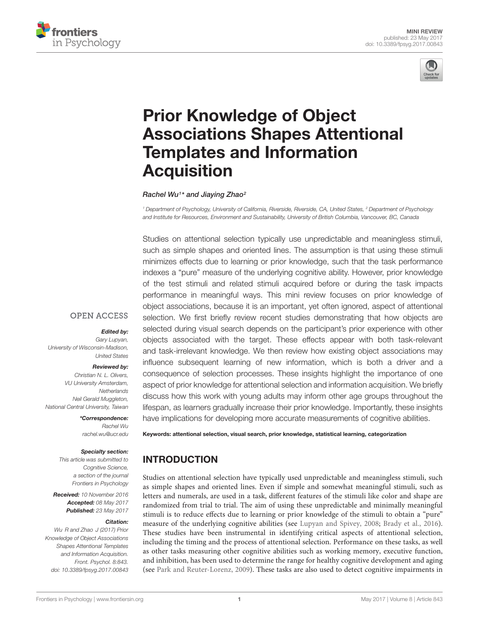



# Prior Knowledge of Object [Associations Shapes Attentional](http://journal.frontiersin.org/article/10.3389/fpsyg.2017.00843/abstract) Templates and Information **Acquisition**

#### [Rachel Wu](http://loop.frontiersin.org/people/31087/overview)<sup>1</sup> \* and [Jiaying Zhao](http://loop.frontiersin.org/people/342432/overview)<sup>2</sup>

<sup>1</sup> Department of Psychology, University of California, Riverside, Riverside, CA, United States, <sup>2</sup> Department of Psychology and Institute for Resources, Environment and Sustainability, University of British Columbia, Vancouver, BC, Canada

Studies on attentional selection typically use unpredictable and meaningless stimuli, such as simple shapes and oriented lines. The assumption is that using these stimuli minimizes effects due to learning or prior knowledge, such that the task performance indexes a "pure" measure of the underlying cognitive ability. However, prior knowledge of the test stimuli and related stimuli acquired before or during the task impacts performance in meaningful ways. This mini review focuses on prior knowledge of object associations, because it is an important, yet often ignored, aspect of attentional selection. We first briefly review recent studies demonstrating that how objects are selected during visual search depends on the participant's prior experience with other objects associated with the target. These effects appear with both task-relevant and task-irrelevant knowledge. We then review how existing object associations may influence subsequent learning of new information, which is both a driver and a consequence of selection processes. These insights highlight the importance of one aspect of prior knowledge for attentional selection and information acquisition. We briefly discuss how this work with young adults may inform other age groups throughout the lifespan, as learners gradually increase their prior knowledge. Importantly, these insights have implications for developing more accurate measurements of cognitive abilities.

**OPEN ACCESS** 

#### Edited by:

Gary Lupyan, University of Wisconsin-Madison, United States

#### Reviewed by:

Christian N. L. Olivers, VU University Amsterdam, **Netherlands** Neil Gerald Muggleton, National Central University, Taiwan

> \*Correspondence: Rachel Wu rachel.wu@ucr.edu

#### Specialty section:

This article was submitted to Cognitive Science, a section of the journal Frontiers in Psychology

Received: 10 November 2016 Accepted: 08 May 2017 Published: 23 May 2017

#### Citation:

Wu R and Zhao J (2017) Prior Knowledge of Object Associations Shapes Attentional Templates and Information Acquisition. Front. Psychol. 8:843. doi: [10.3389/fpsyg.2017.00843](https://doi.org/10.3389/fpsyg.2017.00843) Keywords: attentional selection, visual search, prior knowledge, statistical learning, categorization

## INTRODUCTION

Studies on attentional selection have typically used unpredictable and meaningless stimuli, such as simple shapes and oriented lines. Even if simple and somewhat meaningful stimuli, such as letters and numerals, are used in a task, different features of the stimuli like color and shape are randomized from trial to trial. The aim of using these unpredictable and minimally meaningful stimuli is to reduce effects due to learning or prior knowledge of the stimuli to obtain a "pure" measure of the underlying cognitive abilities (see [Lupyan and Spivey,](#page-4-0) [2008;](#page-4-0) [Brady et al.,](#page-4-1) [2016\)](#page-4-1). These studies have been instrumental in identifying critical aspects of attentional selection, including the timing and the process of attentional selection. Performance on these tasks, as well as other tasks measuring other cognitive abilities such as working memory, executive function, and inhibition, has been used to determine the range for healthy cognitive development and aging (see [Park and Reuter-Lorenz,](#page-4-2) [2009\)](#page-4-2). These tasks are also used to detect cognitive impairments in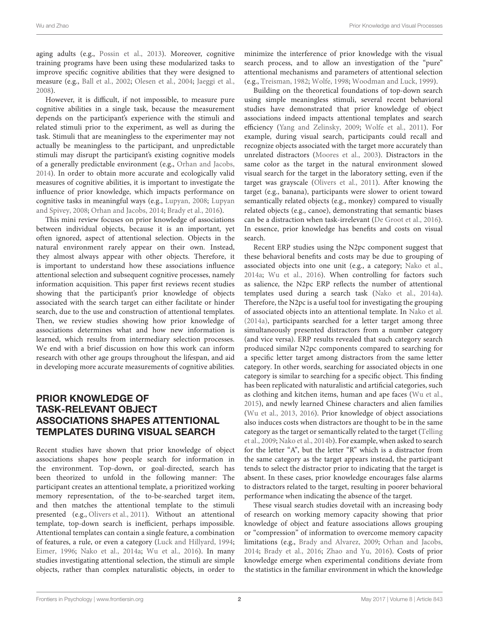aging adults (e.g., [Possin et al.,](#page-4-3) [2013\)](#page-4-3). Moreover, cognitive training programs have been using these modularized tasks to improve specific cognitive abilities that they were designed to measure (e.g., [Ball et al.,](#page-4-4) [2002;](#page-4-4) [Olesen et al.,](#page-4-5) [2004;](#page-4-5) [Jaeggi et al.,](#page-4-6) [2008\)](#page-4-6).

However, it is difficult, if not impossible, to measure pure cognitive abilities in a single task, because the measurement depends on the participant's experience with the stimuli and related stimuli prior to the experiment, as well as during the task. Stimuli that are meaningless to the experimenter may not actually be meaningless to the participant, and unpredictable stimuli may disrupt the participant's existing cognitive models of a generally predictable environment (e.g., [Orhan and Jacobs,](#page-4-7) [2014\)](#page-4-7). In order to obtain more accurate and ecologically valid measures of cognitive abilities, it is important to investigate the influence of prior knowledge, which impacts performance on cognitive tasks in meaningful ways (e.g., [Lupyan,](#page-4-8) [2008;](#page-4-8) [Lupyan](#page-4-0) [and Spivey,](#page-4-0) [2008;](#page-4-0) [Orhan and Jacobs,](#page-4-7) [2014;](#page-4-7) [Brady et al.,](#page-4-1) [2016\)](#page-4-1).

This mini review focuses on prior knowledge of associations between individual objects, because it is an important, yet often ignored, aspect of attentional selection. Objects in the natural environment rarely appear on their own. Instead, they almost always appear with other objects. Therefore, it is important to understand how these associations influence attentional selection and subsequent cognitive processes, namely information acquisition. This paper first reviews recent studies showing that the participant's prior knowledge of objects associated with the search target can either facilitate or hinder search, due to the use and construction of attentional templates. Then, we review studies showing how prior knowledge of associations determines what and how new information is learned, which results from intermediary selection processes. We end with a brief discussion on how this work can inform research with other age groups throughout the lifespan, and aid in developing more accurate measurements of cognitive abilities.

## PRIOR KNOWLEDGE OF TASK-RELEVANT OBJECT ASSOCIATIONS SHAPES ATTENTIONAL TEMPLATES DURING VISUAL SEARCH

Recent studies have shown that prior knowledge of object associations shapes how people search for information in the environment. Top-down, or goal-directed, search has been theorized to unfold in the following manner: The participant creates an attentional template, a prioritized working memory representation, of the to-be-searched target item, and then matches the attentional template to the stimuli presented (e.g., [Olivers et al.,](#page-4-9) [2011\)](#page-4-9). Without an attentional template, top-down search is inefficient, perhaps impossible. Attentional templates can contain a single feature, a combination of features, a rule, or even a category [\(Luck and Hillyard,](#page-4-10) [1994;](#page-4-10) [Eimer,](#page-4-11) [1996;](#page-4-11) [Nako et al.,](#page-4-12) [2014a;](#page-4-12) [Wu et al.,](#page-5-0) [2016\)](#page-5-0). In many studies investigating attentional selection, the stimuli are simple objects, rather than complex naturalistic objects, in order to

minimize the interference of prior knowledge with the visual search process, and to allow an investigation of the "pure" attentional mechanisms and parameters of attentional selection (e.g., [Treisman,](#page-5-1) [1982;](#page-5-1) [Wolfe,](#page-5-2) [1998;](#page-5-2) [Woodman and Luck,](#page-5-3) [1999\)](#page-5-3).

Building on the theoretical foundations of top-down search using simple meaningless stimuli, several recent behavioral studies have demonstrated that prior knowledge of object associations indeed impacts attentional templates and search efficiency [\(Yang and Zelinsky,](#page-5-4) [2009;](#page-5-4) [Wolfe et al.,](#page-5-5) [2011\)](#page-5-5). For example, during visual search, participants could recall and recognize objects associated with the target more accurately than unrelated distractors [\(Moores et al.,](#page-4-13) [2003\)](#page-4-13). Distractors in the same color as the target in the natural environment slowed visual search for the target in the laboratory setting, even if the target was grayscale [\(Olivers et al.,](#page-4-9) [2011\)](#page-4-9). After knowing the target (e.g., banana), participants were slower to orient toward semantically related objects (e.g., monkey) compared to visually related objects (e.g., canoe), demonstrating that semantic biases can be a distraction when task-irrelevant [\(De Groot et al.,](#page-4-14) [2016\)](#page-4-14). In essence, prior knowledge has benefits and costs on visual search.

Recent ERP studies using the N2pc component suggest that these behavioral benefits and costs may be due to grouping of associated objects into one unit (e.g., a category; [Nako et al.,](#page-4-12) [2014a;](#page-4-12) [Wu et al.,](#page-5-0) [2016\)](#page-5-0). When controlling for factors such as salience, the N2pc ERP reflects the number of attentional templates used during a search task [\(Nako et al.,](#page-4-12) [2014a\)](#page-4-12). Therefore, the N2pc is a useful tool for investigating the grouping of associated objects into an attentional template. In [Nako et al.](#page-4-12) [\(2014a\)](#page-4-12), participants searched for a letter target among three simultaneously presented distractors from a number category (and vice versa). ERP results revealed that such category search produced similar N2pc components compared to searching for a specific letter target among distractors from the same letter category. In other words, searching for associated objects in one category is similar to searching for a specific object. This finding has been replicated with naturalistic and artificial categories, such as clothing and kitchen items, human and ape faces [\(Wu et al.,](#page-5-6) [2015\)](#page-5-6), and newly learned Chinese characters and alien families [\(Wu et al.,](#page-5-7) [2013,](#page-5-7) [2016\)](#page-5-0). Prior knowledge of object associations also induces costs when distractors are thought to be in the same category as the target or semantically related to the target [\(Telling](#page-5-8) [et al.,](#page-5-8) [2009;](#page-5-8) [Nako et al.,](#page-4-15) [2014b\)](#page-4-15). For example, when asked to search for the letter "A", but the letter "R" which is a distractor from the same category as the target appears instead, the participant tends to select the distractor prior to indicating that the target is absent. In these cases, prior knowledge encourages false alarms to distractors related to the target, resulting in poorer behavioral performance when indicating the absence of the target.

These visual search studies dovetail with an increasing body of research on working memory capacity showing that prior knowledge of object and feature associations allows grouping or "compression" of information to overcome memory capacity limitations (e.g., [Brady and Alvarez,](#page-4-16) [2009;](#page-4-16) [Orhan and Jacobs,](#page-4-7) [2014;](#page-4-7) [Brady et al.,](#page-4-1) [2016;](#page-4-1) [Zhao and Yu,](#page-5-9) [2016\)](#page-5-9). Costs of prior knowledge emerge when experimental conditions deviate from the statistics in the familiar environment in which the knowledge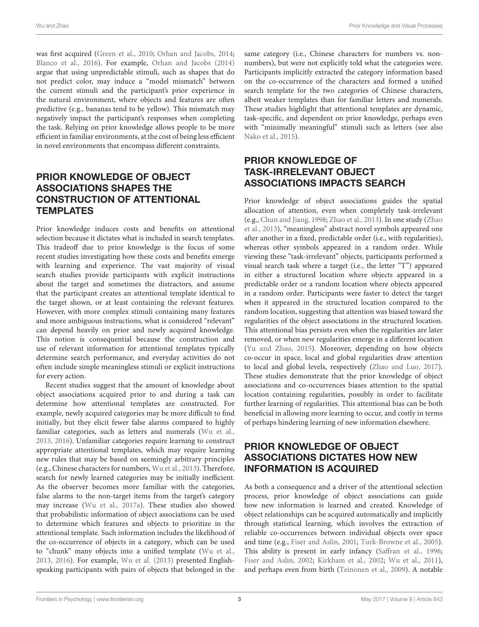was first acquired [\(Green et al.,](#page-4-17) [2010;](#page-4-17) [Orhan and Jacobs,](#page-4-7) [2014;](#page-4-7) [Blanco et al.,](#page-4-18) [2016\)](#page-4-18). For example, [Orhan and Jacobs](#page-4-7) [\(2014\)](#page-4-7) argue that using unpredictable stimuli, such as shapes that do not predict color, may induce a "model mismatch" between the current stimuli and the participant's prior experience in the natural environment, where objects and features are often predictive (e.g., bananas tend to be yellow). This mismatch may negatively impact the participant's responses when completing the task. Relying on prior knowledge allows people to be more efficient in familiar environments, at the cost of being less efficient in novel environments that encompass different constraints.

## PRIOR KNOWLEDGE OF OBJECT ASSOCIATIONS SHAPES THE CONSTRUCTION OF ATTENTIONAL **TEMPLATES**

Prior knowledge induces costs and benefits on attentional selection because it dictates what is included in search templates. This tradeoff due to prior knowledge is the focus of some recent studies investigating how these costs and benefits emerge with learning and experience. The vast majority of visual search studies provide participants with explicit instructions about the target and sometimes the distractors, and assume that the participant creates an attentional template identical to the target shown, or at least containing the relevant features. However, with more complex stimuli containing many features and more ambiguous instructions, what is considered "relevant" can depend heavily on prior and newly acquired knowledge. This notion is consequential because the construction and use of relevant information for attentional templates typically determine search performance, and everyday activities do not often include simple meaningless stimuli or explicit instructions for every action.

Recent studies suggest that the amount of knowledge about object associations acquired prior to and during a task can determine how attentional templates are constructed. For example, newly acquired categories may be more difficult to find initially, but they elicit fewer false alarms compared to highly familiar categories, such as letters and numerals [\(Wu et al.,](#page-5-7) [2013,](#page-5-7) [2016\)](#page-5-0). Unfamiliar categories require learning to construct appropriate attentional templates, which may require learning new rules that may be based on seemingly arbitrary principles (e.g., Chinese characters for numbers, [Wu et al.,](#page-5-7) [2013\)](#page-5-7). Therefore, search for newly learned categories may be initially inefficient. As the observer becomes more familiar with the categories, false alarms to the non-target items from the target's category may increase [\(Wu et al.,](#page-5-10) [2017a\)](#page-5-10). These studies also showed that probabilistic information of object associations can be used to determine which features and objects to prioritize in the attentional template. Such information includes the likelihood of the co-occurrence of objects in a category, which can be used to "chunk" many objects into a unified template [\(Wu et al.,](#page-5-7) [2013,](#page-5-7) [2016\)](#page-5-0). For example, [Wu et al.](#page-5-7) [\(2013\)](#page-5-7) presented Englishspeaking participants with pairs of objects that belonged in the

same category (i.e., Chinese characters for numbers vs. nonnumbers), but were not explicitly told what the categories were. Participants implicitly extracted the category information based on the co-occurrence of the characters and formed a unified search template for the two categories of Chinese characters, albeit weaker templates than for familiar letters and numerals. These studies highlight that attentional templates are dynamic, task-specific, and dependent on prior knowledge, perhaps even with "minimally meaningful" stimuli such as letters (see also [Nako et al.,](#page-4-19) [2015\)](#page-4-19).

## PRIOR KNOWLEDGE OF TASK-IRRELEVANT OBJECT ASSOCIATIONS IMPACTS SEARCH

Prior knowledge of object associations guides the spatial allocation of attention, even when completely task-irrelevant (e.g., [Chun and Jiang,](#page-4-20) [1998;](#page-4-20) [Zhao et al.,](#page-5-11) [2013\)](#page-5-11). In one study [\(Zhao](#page-5-11) [et al.,](#page-5-11) [2013\)](#page-5-11), "meaningless" abstract novel symbols appeared one after another in a fixed, predictable order (i.e., with regularities), whereas other symbols appeared in a random order. While viewing these "task-irrelevant" objects, participants performed a visual search task where a target (i.e., the letter "T") appeared in either a structured location where objects appeared in a predictable order or a random location where objects appeared in a random order. Participants were faster to detect the target when it appeared in the structured location compared to the random location, suggesting that attention was biased toward the regularities of the object associations in the structured location. This attentional bias persists even when the regularities are later removed, or when new regularities emerge in a different location [\(Yu and Zhao,](#page-5-12) [2015\)](#page-5-12). Moreover, depending on how objects co-occur in space, local and global regularities draw attention to local and global levels, respectively [\(Zhao and Luo,](#page-5-13) [2017\)](#page-5-13). These studies demonstrate that the prior knowledge of object associations and co-occurrences biases attention to the spatial location containing regularities, possibly in order to facilitate further learning of regularities. This attentional bias can be both beneficial in allowing more learning to occur, and costly in terms of perhaps hindering learning of new information elsewhere.

## PRIOR KNOWLEDGE OF OBJECT ASSOCIATIONS DICTATES HOW NEW INFORMATION IS ACQUIRED

As both a consequence and a driver of the attentional selection process, prior knowledge of object associations can guide how new information is learned and created. Knowledge of object relationships can be acquired automatically and implicitly through statistical learning, which involves the extraction of reliable co-occurrences between individual objects over space and time (e.g., [Fiser and Aslin,](#page-4-21) [2001;](#page-4-21) [Turk-Browne et al.,](#page-5-14) [2005\)](#page-5-14). This ability is present in early infancy [\(Saffran et al.,](#page-5-15) [1996;](#page-5-15) [Fiser and Aslin,](#page-4-22) [2002;](#page-4-22) [Kirkham et al.,](#page-4-23) [2002;](#page-4-23) [Wu et al.,](#page-5-16) [2011\)](#page-5-16), and perhaps even from birth [\(Teinonen et al.,](#page-5-17) [2009\)](#page-5-17). A notable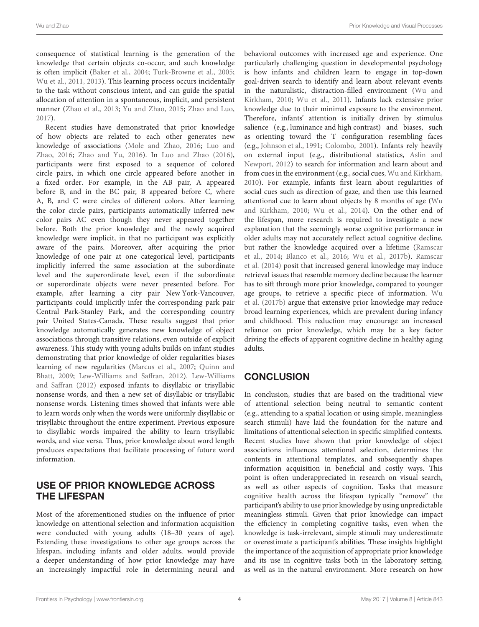consequence of statistical learning is the generation of the knowledge that certain objects co-occur, and such knowledge is often implicit [\(Baker et al.,](#page-4-24) [2004;](#page-4-24) [Turk-Browne et al.,](#page-5-14) [2005;](#page-5-14) [Wu et al.,](#page-5-16) [2011,](#page-5-16) [2013\)](#page-5-7). This learning process occurs incidentally to the task without conscious intent, and can guide the spatial allocation of attention in a spontaneous, implicit, and persistent manner [\(Zhao et al.,](#page-5-11) [2013;](#page-5-11) [Yu and Zhao,](#page-5-12) [2015;](#page-5-12) [Zhao and Luo,](#page-5-13) [2017\)](#page-5-13).

Recent studies have demonstrated that prior knowledge of how objects are related to each other generates new knowledge of associations [\(Mole and Zhao,](#page-4-25) [2016;](#page-4-25) [Luo and](#page-4-26) [Zhao,](#page-4-26) [2016;](#page-4-26) [Zhao and Yu,](#page-5-9) [2016\)](#page-5-9). In [Luo and Zhao](#page-4-26) [\(2016\)](#page-4-26), participants were first exposed to a sequence of colored circle pairs, in which one circle appeared before another in a fixed order. For example, in the AB pair, A appeared before B, and in the BC pair, B appeared before C, where A, B, and C were circles of different colors. After learning the color circle pairs, participants automatically inferred new color pairs AC even though they never appeared together before. Both the prior knowledge and the newly acquired knowledge were implicit, in that no participant was explicitly aware of the pairs. Moreover, after acquiring the prior knowledge of one pair at one categorical level, participants implicitly inferred the same association at the subordinate level and the superordinate level, even if the subordinate or superordinate objects were never presented before. For example, after learning a city pair New York-Vancouver, participants could implicitly infer the corresponding park pair Central Park-Stanley Park, and the corresponding country pair United States-Canada. These results suggest that prior knowledge automatically generates new knowledge of object associations through transitive relations, even outside of explicit awareness. This study with young adults builds on infant studies demonstrating that prior knowledge of older regularities biases learning of new regularities [\(Marcus et al.,](#page-4-27) [2007;](#page-4-27) [Quinn and](#page-5-18) [Bhatt,](#page-5-18) [2009;](#page-5-18) [Lew-Williams and Saffran,](#page-4-28) [2012\)](#page-4-28). [Lew-Williams](#page-4-28) [and Saffran](#page-4-28) [\(2012\)](#page-4-28) exposed infants to disyllabic or trisyllabic nonsense words, and then a new set of disyllabic or trisyllabic nonsense words. Listening times showed that infants were able to learn words only when the words were uniformly disyllabic or trisyllabic throughout the entire experiment. Previous exposure to disyllabic words impaired the ability to learn trisyllabic words, and vice versa. Thus, prior knowledge about word length produces expectations that facilitate processing of future word information.

#### USE OF PRIOR KNOWLEDGE ACROSS THE LIFESPAN

Most of the aforementioned studies on the influence of prior knowledge on attentional selection and information acquisition were conducted with young adults (18–30 years of age). Extending these investigations to other age groups across the lifespan, including infants and older adults, would provide a deeper understanding of how prior knowledge may have an increasingly impactful role in determining neural and

behavioral outcomes with increased age and experience. One particularly challenging question in developmental psychology is how infants and children learn to engage in top-down goal-driven search to identify and learn about relevant events in the naturalistic, distraction-filled environment [\(Wu and](#page-5-19) [Kirkham,](#page-5-19) [2010;](#page-5-19) [Wu et al.,](#page-5-16) [2011\)](#page-5-16). Infants lack extensive prior knowledge due to their minimal exposure to the environment. Therefore, infants' attention is initially driven by stimulus salience (e.g., luminance and high contrast) and biases, such as orienting toward the T configuration resembling faces (e.g., [Johnson et al.,](#page-4-29) [1991;](#page-4-29) [Colombo,](#page-4-30) [2001\)](#page-4-30). Infants rely heavily on external input (e.g., distributional statistics, [Aslin and](#page-4-31) [Newport,](#page-4-31) [2012\)](#page-4-31) to search for information and learn about and from cues in the environment (e.g., social cues, [Wu and Kirkham,](#page-5-19) [2010\)](#page-5-19). For example, infants first learn about regularities of social cues such as direction of gaze, and then use this learned attentional cue to learn about objects by 8 months of age [\(Wu](#page-5-19) [and Kirkham,](#page-5-19) [2010;](#page-5-19) [Wu et al.,](#page-5-20) [2014\)](#page-5-20). On the other end of the lifespan, more research is required to investigate a new explanation that the seemingly worse cognitive performance in older adults may not accurately reflect actual cognitive decline, but rather the knowledge acquired over a lifetime [\(Ramscar](#page-5-21) [et al.,](#page-5-21) [2014;](#page-5-21) [Blanco et al.,](#page-4-18) [2016;](#page-4-18) [Wu et al.,](#page-5-22) [2017b\)](#page-5-22). [Ramscar](#page-5-21) [et al.](#page-5-21) [\(2014\)](#page-5-21) posit that increased general knowledge may induce retrieval issues that resemble memory decline because the learner has to sift through more prior knowledge, compared to younger age groups, to retrieve a specific piece of information. [Wu](#page-5-22) [et al.](#page-5-22) [\(2017b\)](#page-5-22) argue that extensive prior knowledge may reduce broad learning experiences, which are prevalent during infancy and childhood. This reduction may encourage an increased reliance on prior knowledge, which may be a key factor driving the effects of apparent cognitive decline in healthy aging adults.

## **CONCLUSION**

In conclusion, studies that are based on the traditional view of attentional selection being neutral to semantic content (e.g., attending to a spatial location or using simple, meaningless search stimuli) have laid the foundation for the nature and limitations of attentional selection in specific simplified contexts. Recent studies have shown that prior knowledge of object associations influences attentional selection, determines the contents in attentional templates, and subsequently shapes information acquisition in beneficial and costly ways. This point is often underappreciated in research on visual search, as well as other aspects of cognition. Tasks that measure cognitive health across the lifespan typically "remove" the participant's ability to use prior knowledge by using unpredictable meaningless stimuli. Given that prior knowledge can impact the efficiency in completing cognitive tasks, even when the knowledge is task-irrelevant, simple stimuli may underestimate or overestimate a participant's abilities. These insights highlight the importance of the acquisition of appropriate prior knowledge and its use in cognitive tasks both in the laboratory setting, as well as in the natural environment. More research on how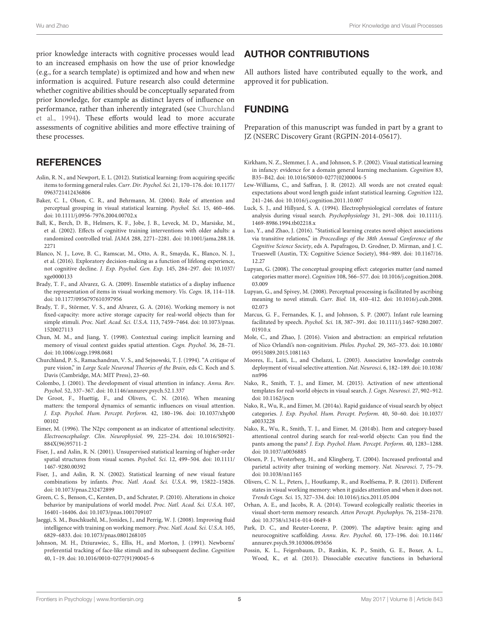prior knowledge interacts with cognitive processes would lead to an increased emphasis on how the use of prior knowledge (e.g., for a search template) is optimized and how and when new information is acquired. Future research also could determine whether cognitive abilities should be conceptually separated from prior knowledge, for example as distinct layers of influence on performance, rather than inherently integrated (see [Churchland](#page-4-32) [et al.,](#page-4-32) [1994\)](#page-4-32). These efforts would lead to more accurate assessments of cognitive abilities and more effective training of these processes.

#### **REFERENCES**

- <span id="page-4-31"></span>Aslin, R. N., and Newport, E. L. (2012). Statistical learning: from acquiring specific items to forming general rules. Curr. Dir. Psychol. Sci. 21, 170–176. [doi: 10.1177/](https://doi.org/10.1177/0963721412436806) [0963721412436806](https://doi.org/10.1177/0963721412436806)
- <span id="page-4-24"></span>Baker, C. I., Olson, C. R., and Behrmann, M. (2004). Role of attention and perceptual grouping in visual statistical learning. Psychol. Sci. 15, 460–466. [doi: 10.1111/j.0956-7976.2004.00702.x](https://doi.org/10.1111/j.0956-7976.2004.00702.x)
- <span id="page-4-4"></span>Ball, K., Berch, D. B., Helmers, K. F., Jobe, J. B., Leveck, M. D., Marsiske, M., et al. (2002). Effects of cognitive training interventions with older adults: a randomized controlled trial. JAMA 288, 2271–2281. [doi: 10.1001/jama.288.18.](https://doi.org/10.1001/jama.288.18.2271) [2271](https://doi.org/10.1001/jama.288.18.2271)
- <span id="page-4-18"></span>Blanco, N. J., Love, B. C., Ramscar, M., Otto, A. R., Smayda, K., Blanco, N. J., et al. (2016). Exploratory decision-making as a function of lifelong experience, not cognitive decline. J. Exp. Psychol. Gen. Exp. 145, 284–297. [doi: 10.1037/](https://doi.org/10.1037/xge0000133) [xge0000133](https://doi.org/10.1037/xge0000133)
- <span id="page-4-16"></span>Brady, T. F., and Alvarez, G. A. (2009). Ensemble statistics of a display influence the representation of items in visual working memory. Vis. Cogn. 18, 114–118. [doi: 10.1177/0956797610397956](https://doi.org/10.1177/0956797610397956)
- <span id="page-4-1"></span>Brady, T. F., Störmer, V. S., and Alvarez, G. A. (2016). Working memory is not fixed-capacity: more active storage capacity for real-world objects than for simple stimuli. Proc. Natl. Acad. Sci. U.S.A. 113, 7459–7464. [doi: 10.1073/pnas.](https://doi.org/10.1073/pnas.1520027113) [1520027113](https://doi.org/10.1073/pnas.1520027113)
- <span id="page-4-20"></span>Chun, M. M., and Jiang, Y. (1998). Contextual cueing: implicit learning and memory of visual context guides spatial attention. Cogn. Psychol. 36, 28–71. [doi: 10.1006/cogp.1998.0681](https://doi.org/10.1006/cogp.1998.0681)
- <span id="page-4-32"></span>Churchland, P. S., Ramachandran, V. S., and Sejnowski, T. J. (1994). "A critique of pure vision," in Large Scale Neuronal Theories of the Brain, eds C. Koch and S. Davis (Cambridge, MA: MIT Press), 23–60.
- <span id="page-4-30"></span>Colombo, J. (2001). The development of visual attention in infancy. Annu. Rev. Psychol. 52, 337–367. [doi: 10.1146/annurev.psych.52.1.337](https://doi.org/10.1146/annurev.psych.52.1.337)
- <span id="page-4-14"></span>De Groot, F., Huettig, F., and Olivers, C. N. (2016). When meaning matters: the temporal dynamics of semantic influences on visual attention. J. Exp. Psychol. Hum. Percept. Perform. 42, 180–196. [doi: 10.1037/xhp00](https://doi.org/10.1037/xhp0000102) [00102](https://doi.org/10.1037/xhp0000102)
- <span id="page-4-11"></span>Eimer, M. (1996). The N2pc component as an indicator of attentional selectivity. Electroencephalogr. Clin. Neurophysiol. 99, 225–234. [doi: 10.1016/S0921-](https://doi.org/10.1016/S0921-884X(96)95711-2) [884X\(96\)95711-2](https://doi.org/10.1016/S0921-884X(96)95711-2)
- <span id="page-4-21"></span>Fiser, J., and Aslin, R. N. (2001). Unsupervised statistical learning of higher-order spatial structures from visual scenes. Psychol. Sci. 12, 499–504. [doi: 10.1111/](https://doi.org/10.1111/1467-9280.00392) [1467-9280.00392](https://doi.org/10.1111/1467-9280.00392)
- <span id="page-4-22"></span>Fiser, J., and Aslin, R. N. (2002). Statistical learning of new visual feature combinations by infants. Proc. Natl. Acad. Sci. U.S.A. 99, 15822–15826. [doi: 10.1073/pnas.232472899](https://doi.org/10.1073/pnas.232472899)
- <span id="page-4-17"></span>Green, C. S., Benson, C., Kersten, D., and Schrater, P. (2010). Alterations in choice behavior by manipulations of world model. Proc. Natl. Acad. Sci. U.S.A. 107, 16401–16406. [doi: 10.1073/pnas.1001709107](https://doi.org/10.1073/pnas.1001709107)
- <span id="page-4-6"></span>Jaeggi, S. M., Buschkuehl, M., Jonides, J., and Perrig, W. J. (2008). Improving fluid intelligence with training on working memory. Proc. Natl. Acad. Sci. U.S.A. 105, 6829–6833. [doi: 10.1073/pnas.0801268105](https://doi.org/10.1073/pnas.0801268105)
- <span id="page-4-29"></span>Johnson, M. H., Dziurawiec, S., Ellis, H., and Morton, J. (1991). Newborns' preferential tracking of face-like stimuli and its subsequent decline. Cognition 40, 1–19. [doi: 10.1016/0010-0277\(91\)90045-6](https://doi.org/10.1016/0010-0277(91)90045-6)

## AUTHOR CONTRIBUTIONS

All authors listed have contributed equally to the work, and approved it for publication.

# FUNDING

Preparation of this manuscript was funded in part by a grant to JZ (NSERC Discovery Grant (RGPIN-2014-05617).

- <span id="page-4-23"></span>Kirkham, N. Z., Slemmer, J. A., and Johnson, S. P. (2002). Visual statistical learning in infancy: evidence for a domain general learning mechanism. Cognition 83, B35–B42. [doi: 10.1016/S0010-0277\(02\)00004-5](https://doi.org/10.1016/S0010-0277(02)00004-5)
- <span id="page-4-28"></span>Lew-Williams, C., and Saffran, J. R. (2012). All words are not created equal: expectations about word length guide infant statistical learning. Cognition 122, 241–246. [doi: 10.1016/j.cognition.2011.10.007](https://doi.org/10.1016/j.cognition.2011.10.007)
- <span id="page-4-10"></span>Luck, S. J., and Hillyard, S. A. (1994). Electrophysiological correlates of feature analysis during visual search. Psychophysiology 31, 291–308. [doi: 10.1111/j.](https://doi.org/10.1111/j.1469-8986.1994.tb02218.x) [1469-8986.1994.tb02218.x](https://doi.org/10.1111/j.1469-8986.1994.tb02218.x)
- <span id="page-4-26"></span>Luo, Y., and Zhao, J. (2016). "Statistical learning creates novel object associations via transitive relations," in Proceedings of the 38th Annual Conference of the Cognitive Science Society, eds A. Papafragou, D. Grodner, D. Mirman, and J. C. Trueswell (Austin, TX: Cognitive Science Society), 984–989. [doi: 10.1167/16.](https://doi.org/10.1167/16.12.27) [12.27](https://doi.org/10.1167/16.12.27)
- <span id="page-4-8"></span>Lupyan, G. (2008). The conceptual grouping effect: categories matter (and named categories matter more). Cognition 108, 566–577. [doi: 10.1016/j.cognition.2008.](https://doi.org/10.1016/j.cognition.2008.03.009) [03.009](https://doi.org/10.1016/j.cognition.2008.03.009)
- <span id="page-4-0"></span>Lupyan, G., and Spivey, M. (2008). Perceptual processing is facilitated by ascribing meaning to novel stimuli. Curr. Biol. 18, 410–412. [doi: 10.1016/j.cub.2008.](https://doi.org/10.1016/j.cub.2008.02.073) [02.073](https://doi.org/10.1016/j.cub.2008.02.073)
- <span id="page-4-27"></span>Marcus, G. F., Fernandes, K. J., and Johnson, S. P. (2007). Infant rule learning facilitated by speech. Psychol. Sci. 18, 387–391. [doi: 10.1111/j.1467-9280.2007.](https://doi.org/10.1111/j.1467-9280.2007.01910.x) [01910.x](https://doi.org/10.1111/j.1467-9280.2007.01910.x)
- <span id="page-4-25"></span>Mole, C., and Zhao, J. (2016). Vision and abstraction: an empirical refutation of Nico Orlandi's non-cognitivism. Philos. Psychol. 29, 365–373. [doi: 10.1080/](https://doi.org/10.1080/09515089.2015.1081163) [09515089.2015.1081163](https://doi.org/10.1080/09515089.2015.1081163)
- <span id="page-4-13"></span>Moores, E., Laiti, L., and Chelazzi, L. (2003). Associative knowledge controls deployment of visual selective attention. Nat. Neurosci. 6, 182–189. [doi: 10.1038/](https://doi.org/10.1038/nn996) [nn996](https://doi.org/10.1038/nn996)
- <span id="page-4-19"></span>Nako, R., Smith, T. J., and Eimer, M. (2015). Activation of new attentional templates for real-world objects in visual search. J. Cogn. Neurosci. 27, 902–912. [doi: 10.1162/jocn](https://doi.org/10.1162/jocn)
- <span id="page-4-12"></span>Nako, R., Wu, R., and Eimer, M. (2014a). Rapid guidance of visual search by object categories. J. Exp. Psychol. Hum. Percept. Perform. 40, 50–60. [doi: 10.1037/](https://doi.org/10.1037/a0033228) [a0033228](https://doi.org/10.1037/a0033228)
- <span id="page-4-15"></span>Nako, R., Wu, R., Smith, T. J., and Eimer, M. (2014b). Item and category-based attentional control during search for real-world objects: Can you find the pants among the pans? J. Exp. Psychol. Hum. Percept. Perform. 40, 1283–1288. [doi: 10.1037/a0036885](https://doi.org/10.1037/a0036885)
- <span id="page-4-5"></span>Olesen, P. J., Westerberg, H., and Klingberg, T. (2004). Increased prefrontal and parietal activity after training of working memory. Nat. Neurosci. 7, 75–79. [doi: 10.1038/nn1165](https://doi.org/10.1038/nn1165)
- <span id="page-4-9"></span>Olivers, C. N. L., Peters, J., Houtkamp, R., and Roelfsema, P. R. (2011). Different states in visual working memory: when it guides attention and when it does not. Trends Cogn. Sci. 15, 327–334. [doi: 10.1016/j.tics.2011.05.004](https://doi.org/10.1016/j.tics.2011.05.004)
- <span id="page-4-7"></span>Orhan, A. E., and Jacobs, R. A. (2014). Toward ecologically realistic theories in visual short-term memory research. Atten Percept. Psychophys. 76, 2158–2170. [doi: 10.3758/s13414-014-0649-8](https://doi.org/10.3758/s13414-014-0649-8)
- <span id="page-4-2"></span>Park, D. C., and Reuter-Lorenz, P. (2009). The adaptive brain: aging and neurocognitive scaffolding. Annu. Rev. Psychol. 60, 173–196. [doi: 10.1146/](https://doi.org/10.1146/annurev.psych.59.103006.093656) [annurev.psych.59.103006.093656](https://doi.org/10.1146/annurev.psych.59.103006.093656)
- <span id="page-4-3"></span>Possin, K. L., Feigenbaum, D., Rankin, K. P., Smith, G. E., Boxer, A. L., Wood, K., et al. (2013). Dissociable executive functions in behavioral